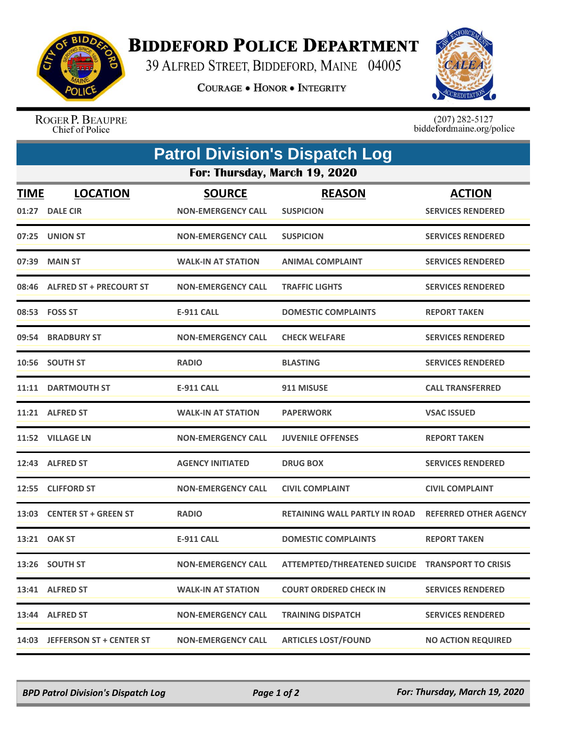

## **BIDDEFORD POLICE DEPARTMENT**

39 ALFRED STREET, BIDDEFORD, MAINE 04005

**COURAGE . HONOR . INTEGRITY** 



ROGER P. BEAUPRE Chief of Police

 $(207)$  282-5127<br>biddefordmaine.org/police

| <b>Patrol Division's Dispatch Log</b><br>For: Thursday, March 19, 2020 |                                |                           |                                                  |                              |  |  |
|------------------------------------------------------------------------|--------------------------------|---------------------------|--------------------------------------------------|------------------------------|--|--|
|                                                                        |                                |                           |                                                  |                              |  |  |
|                                                                        | 01:27 DALE CIR                 | <b>NON-EMERGENCY CALL</b> | <b>SUSPICION</b>                                 | <b>SERVICES RENDERED</b>     |  |  |
|                                                                        | 07:25 UNION ST                 | <b>NON-EMERGENCY CALL</b> | <b>SUSPICION</b>                                 | <b>SERVICES RENDERED</b>     |  |  |
|                                                                        | 07:39 MAIN ST                  | <b>WALK-IN AT STATION</b> | <b>ANIMAL COMPLAINT</b>                          | <b>SERVICES RENDERED</b>     |  |  |
|                                                                        | 08:46 ALFRED ST + PRECOURT ST  | <b>NON-EMERGENCY CALL</b> | <b>TRAFFIC LIGHTS</b>                            | <b>SERVICES RENDERED</b>     |  |  |
|                                                                        | 08:53 FOSS ST                  | <b>E-911 CALL</b>         | <b>DOMESTIC COMPLAINTS</b>                       | <b>REPORT TAKEN</b>          |  |  |
|                                                                        | 09:54 BRADBURY ST              | <b>NON-EMERGENCY CALL</b> | <b>CHECK WELFARE</b>                             | <b>SERVICES RENDERED</b>     |  |  |
|                                                                        | 10:56 SOUTH ST                 | <b>RADIO</b>              | <b>BLASTING</b>                                  | <b>SERVICES RENDERED</b>     |  |  |
|                                                                        | 11:11 DARTMOUTH ST             | <b>E-911 CALL</b>         | 911 MISUSE                                       | <b>CALL TRANSFERRED</b>      |  |  |
|                                                                        | 11:21 ALFRED ST                | <b>WALK-IN AT STATION</b> | <b>PAPERWORK</b>                                 | <b>VSAC ISSUED</b>           |  |  |
|                                                                        | 11:52 VILLAGE LN               | <b>NON-EMERGENCY CALL</b> | <b>JUVENILE OFFENSES</b>                         | <b>REPORT TAKEN</b>          |  |  |
| 12:43                                                                  | <b>ALFRED ST</b>               | <b>AGENCY INITIATED</b>   | <b>DRUG BOX</b>                                  | <b>SERVICES RENDERED</b>     |  |  |
|                                                                        | 12:55 CLIFFORD ST              | <b>NON-EMERGENCY CALL</b> | <b>CIVIL COMPLAINT</b>                           | <b>CIVIL COMPLAINT</b>       |  |  |
|                                                                        | 13:03 CENTER ST + GREEN ST     | <b>RADIO</b>              | RETAINING WALL PARTLY IN ROAD                    | <b>REFERRED OTHER AGENCY</b> |  |  |
|                                                                        | 13:21 OAK ST                   | <b>E-911 CALL</b>         | <b>DOMESTIC COMPLAINTS</b>                       | <b>REPORT TAKEN</b>          |  |  |
|                                                                        | 13:26 SOUTH ST                 | <b>NON-EMERGENCY CALL</b> | ATTEMPTED/THREATENED SUICIDE TRANSPORT TO CRISIS |                              |  |  |
|                                                                        | 13:41 ALFRED ST                | <b>WALK-IN AT STATION</b> | <b>COURT ORDERED CHECK IN</b>                    | <b>SERVICES RENDERED</b>     |  |  |
|                                                                        | 13:44 ALFRED ST                | <b>NON-EMERGENCY CALL</b> | <b>TRAINING DISPATCH</b>                         | <b>SERVICES RENDERED</b>     |  |  |
|                                                                        | 14:03 JEFFERSON ST + CENTER ST | <b>NON-EMERGENCY CALL</b> | <b>ARTICLES LOST/FOUND</b>                       | <b>NO ACTION REQUIRED</b>    |  |  |